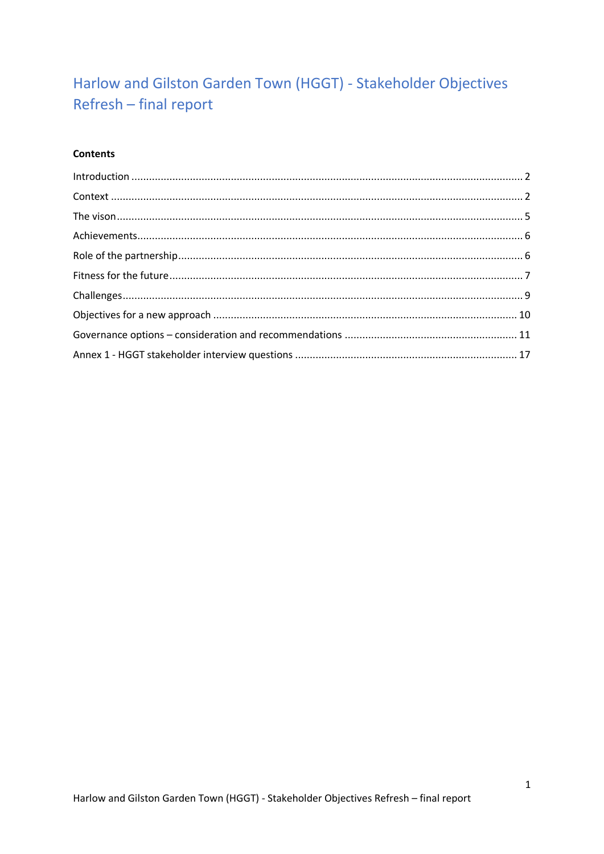# Harlow and Gilston Garden Town (HGGT) - Stakeholder Objectives Refresh - final report

# **Contents**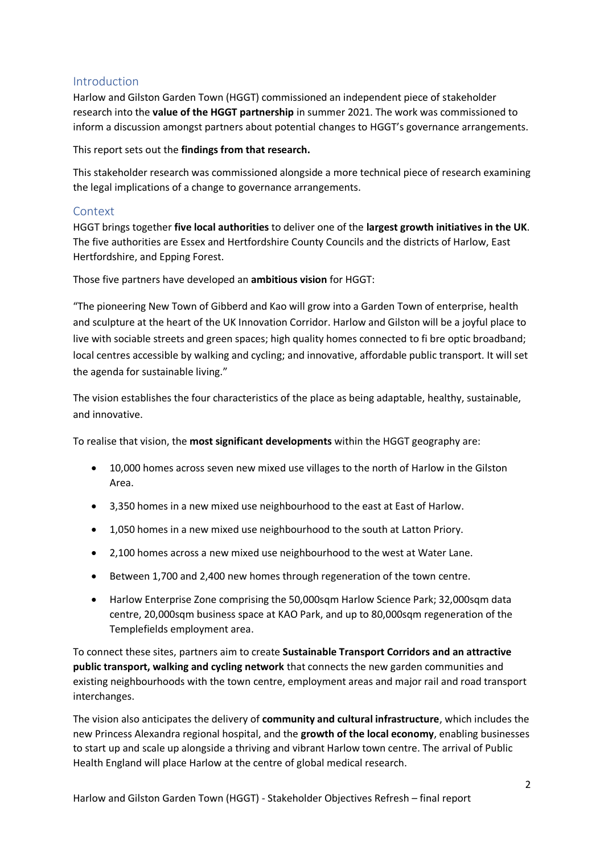# <span id="page-1-0"></span>Introduction

Harlow and Gilston Garden Town (HGGT) commissioned an independent piece of stakeholder research into the **value of the HGGT partnership** in summer 2021. The work was commissioned to inform a discussion amongst partners about potential changes to HGGT's governance arrangements.

This report sets out the **findings from that research.**

This stakeholder research was commissioned alongside a more technical piece of research examining the legal implications of a change to governance arrangements.

### <span id="page-1-1"></span>Context

HGGT brings together **five local authorities** to deliver one of the **largest growth initiatives in the UK**. The five authorities are Essex and Hertfordshire County Councils and the districts of Harlow, East Hertfordshire, and Epping Forest.

Those five partners have developed an **ambitious vision** for HGGT:

"The pioneering New Town of Gibberd and Kao will grow into a Garden Town of enterprise, health and sculpture at the heart of the UK Innovation Corridor. Harlow and Gilston will be a joyful place to live with sociable streets and green spaces; high quality homes connected to fi bre optic broadband; local centres accessible by walking and cycling; and innovative, affordable public transport. It will set the agenda for sustainable living."

The vision establishes the four characteristics of the place as being adaptable, healthy, sustainable, and innovative.

To realise that vision, the **most significant developments** within the HGGT geography are:

- 10,000 homes across seven new mixed use villages to the north of Harlow in the Gilston Area.
- 3,350 homes in a new mixed use neighbourhood to the east at East of Harlow.
- 1,050 homes in a new mixed use neighbourhood to the south at Latton Priory.
- 2,100 homes across a new mixed use neighbourhood to the west at Water Lane.
- Between 1,700 and 2,400 new homes through regeneration of the town centre.
- Harlow Enterprise Zone comprising the 50,000sqm Harlow Science Park; 32,000sqm data centre, 20,000sqm business space at KAO Park, and up to 80,000sqm regeneration of the Templefields employment area.

To connect these sites, partners aim to create **Sustainable Transport Corridors and an attractive public transport, walking and cycling network** that connects the new garden communities and existing neighbourhoods with the town centre, employment areas and major rail and road transport interchanges.

The vision also anticipates the delivery of **community and cultural infrastructure**, which includes the new Princess Alexandra regional hospital, and the **growth of the local economy**, enabling businesses to start up and scale up alongside a thriving and vibrant Harlow town centre. The arrival of Public Health England will place Harlow at the centre of global medical research.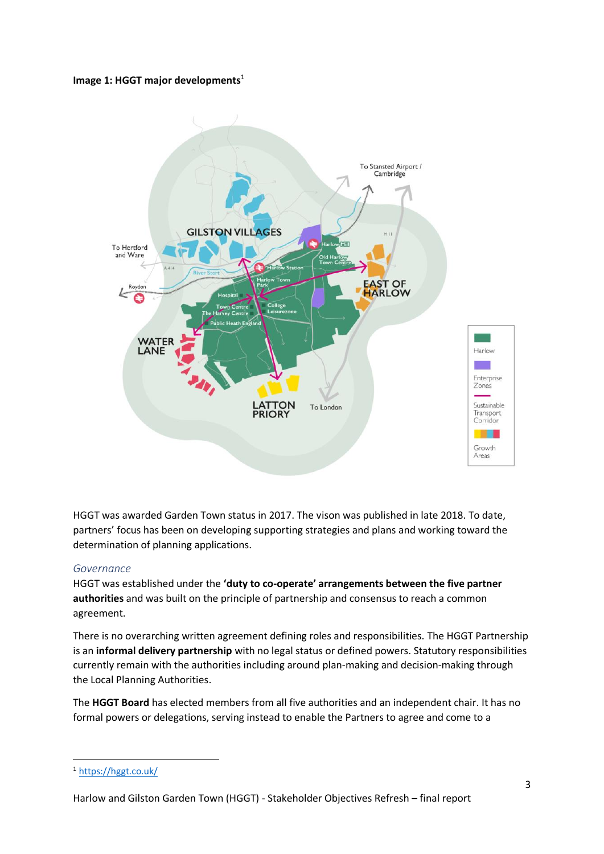#### **Image 1: HGGT major developments**<sup>1</sup>



HGGT was awarded Garden Town status in 2017. The vison was published in late 2018. To date, partners' focus has been on developing supporting strategies and plans and working toward the determination of planning applications.

#### *Governance*

HGGT was established under the **'duty to co-operate' arrangements between the five partner authorities** and was built on the principle of partnership and consensus to reach a common agreement.

There is no overarching written agreement defining roles and responsibilities. The HGGT Partnership is an **informal delivery partnership** with no legal status or defined powers. Statutory responsibilities currently remain with the authorities including around plan-making and decision-making through the Local Planning Authorities.

The **HGGT Board** has elected members from all five authorities and an independent chair. It has no formal powers or delegations, serving instead to enable the Partners to agree and come to a

<sup>1</sup> <https://hggt.co.uk/>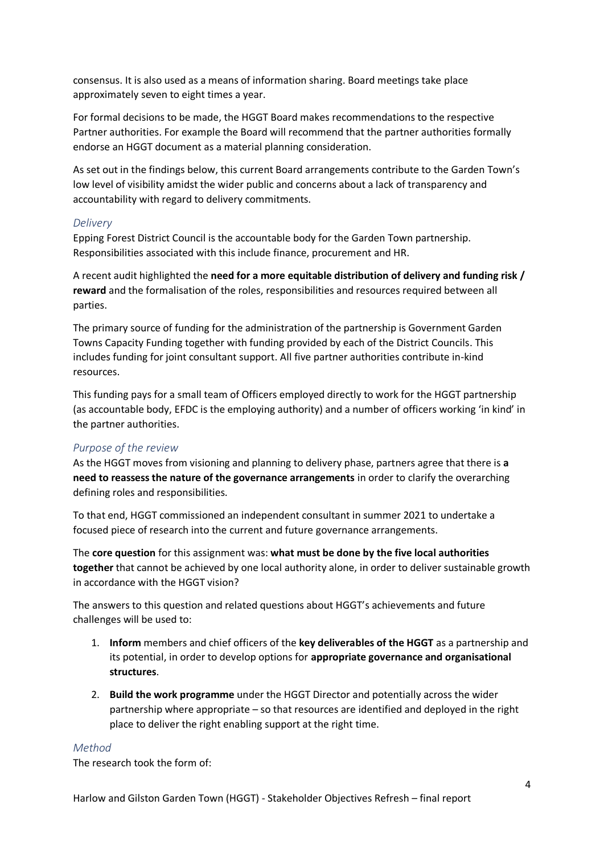consensus. It is also used as a means of information sharing. Board meetings take place approximately seven to eight times a year.

For formal decisions to be made, the HGGT Board makes recommendations to the respective Partner authorities. For example the Board will recommend that the partner authorities formally endorse an HGGT document as a material planning consideration.

As set out in the findings below, this current Board arrangements contribute to the Garden Town's low level of visibility amidst the wider public and concerns about a lack of transparency and accountability with regard to delivery commitments.

#### *Delivery*

Epping Forest District Council is the accountable body for the Garden Town partnership. Responsibilities associated with this include finance, procurement and HR.

A recent audit highlighted the **need for a more equitable distribution of delivery and funding risk / reward** and the formalisation of the roles, responsibilities and resources required between all parties.

The primary source of funding for the administration of the partnership is Government Garden Towns Capacity Funding together with funding provided by each of the District Councils. This includes funding for joint consultant support. All five partner authorities contribute in-kind resources.

This funding pays for a small team of Officers employed directly to work for the HGGT partnership (as accountable body, EFDC is the employing authority) and a number of officers working 'in kind' in the partner authorities.

#### *Purpose of the review*

As the HGGT moves from visioning and planning to delivery phase, partners agree that there is **a need to reassess the nature of the governance arrangements** in order to clarify the overarching defining roles and responsibilities.

To that end, HGGT commissioned an independent consultant in summer 2021 to undertake a focused piece of research into the current and future governance arrangements.

The **core question** for this assignment was: **what must be done by the five local authorities together** that cannot be achieved by one local authority alone, in order to deliver sustainable growth in accordance with the HGGT vision?

The answers to this question and related questions about HGGT's achievements and future challenges will be used to:

- 1. **Inform** members and chief officers of the **key deliverables of the HGGT** as a partnership and its potential, in order to develop options for **appropriate governance and organisational structures**.
- 2. **Build the work programme** under the HGGT Director and potentially across the wider partnership where appropriate – so that resources are identified and deployed in the right place to deliver the right enabling support at the right time.

#### *Method*

The research took the form of: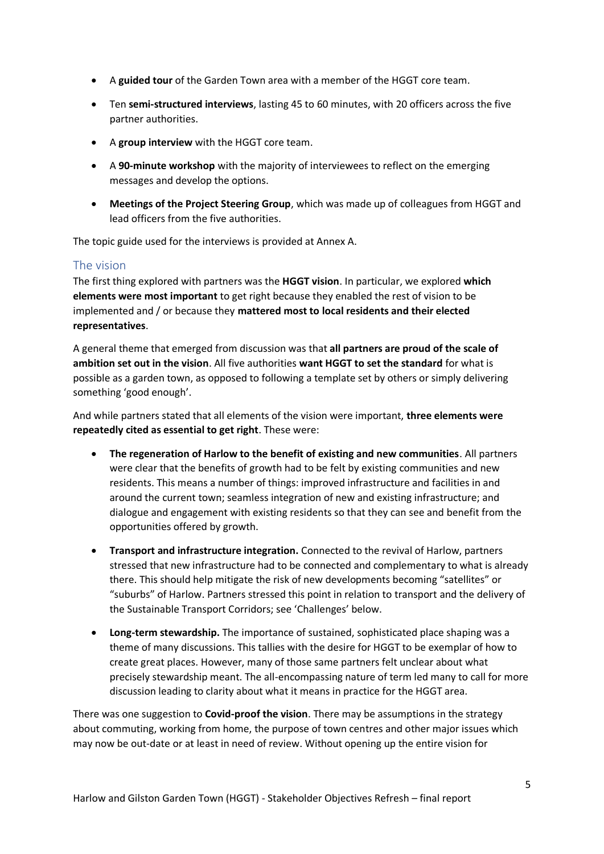- A **guided tour** of the Garden Town area with a member of the HGGT core team.
- Ten **semi-structured interviews**, lasting 45 to 60 minutes, with 20 officers across the five partner authorities.
- A **group interview** with the HGGT core team.
- A **90-minute workshop** with the majority of interviewees to reflect on the emerging messages and develop the options.
- **Meetings of the Project Steering Group**, which was made up of colleagues from HGGT and lead officers from the five authorities.

The topic guide used for the interviews is provided at Annex A.

### <span id="page-4-0"></span>The vision

The first thing explored with partners was the **HGGT vision**. In particular, we explored **which elements were most important** to get right because they enabled the rest of vision to be implemented and / or because they **mattered most to local residents and their elected representatives**.

A general theme that emerged from discussion was that **all partners are proud of the scale of ambition set out in the vision**. All five authorities **want HGGT to set the standard** for what is possible as a garden town, as opposed to following a template set by others or simply delivering something 'good enough'.

And while partners stated that all elements of the vision were important, **three elements were repeatedly cited as essential to get right**. These were:

- **The regeneration of Harlow to the benefit of existing and new communities**. All partners were clear that the benefits of growth had to be felt by existing communities and new residents. This means a number of things: improved infrastructure and facilities in and around the current town; seamless integration of new and existing infrastructure; and dialogue and engagement with existing residents so that they can see and benefit from the opportunities offered by growth.
- **Transport and infrastructure integration.** Connected to the revival of Harlow, partners stressed that new infrastructure had to be connected and complementary to what is already there. This should help mitigate the risk of new developments becoming "satellites" or "suburbs" of Harlow. Partners stressed this point in relation to transport and the delivery of the Sustainable Transport Corridors; see 'Challenges' below.
- **Long-term stewardship.** The importance of sustained, sophisticated place shaping was a theme of many discussions. This tallies with the desire for HGGT to be exemplar of how to create great places. However, many of those same partners felt unclear about what precisely stewardship meant. The all-encompassing nature of term led many to call for more discussion leading to clarity about what it means in practice for the HGGT area.

There was one suggestion to **Covid-proof the vision**. There may be assumptions in the strategy about commuting, working from home, the purpose of town centres and other major issues which may now be out-date or at least in need of review. Without opening up the entire vision for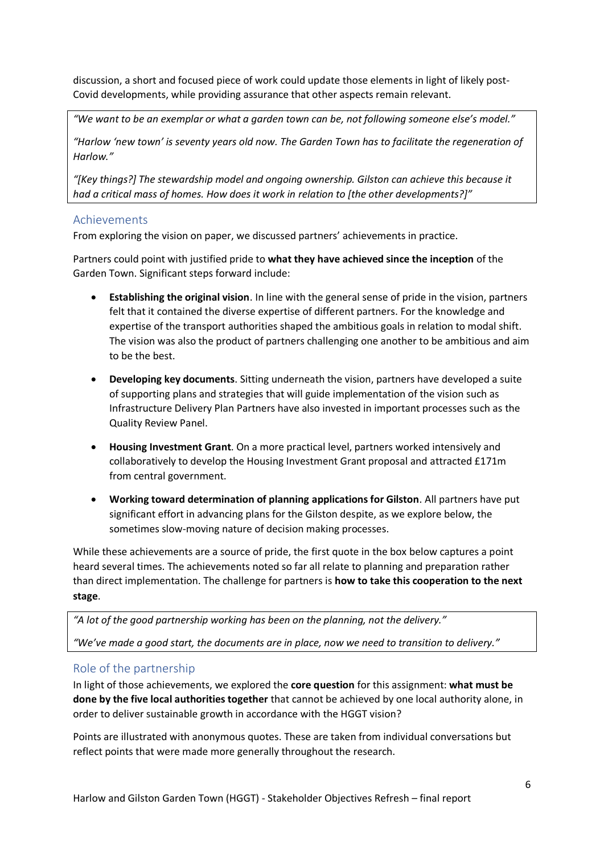discussion, a short and focused piece of work could update those elements in light of likely post-Covid developments, while providing assurance that other aspects remain relevant.

*"We want to be an exemplar or what a garden town can be, not following someone else's model."*

*"Harlow 'new town' is seventy years old now. The Garden Town has to facilitate the regeneration of Harlow."*

*"[Key things?] The stewardship model and ongoing ownership. Gilston can achieve this because it had a critical mass of homes. How does it work in relation to [the other developments?]"*

### <span id="page-5-0"></span>Achievements

From exploring the vision on paper, we discussed partners' achievements in practice.

Partners could point with justified pride to **what they have achieved since the inception** of the Garden Town. Significant steps forward include:

- **Establishing the original vision**. In line with the general sense of pride in the vision, partners felt that it contained the diverse expertise of different partners. For the knowledge and expertise of the transport authorities shaped the ambitious goals in relation to modal shift. The vision was also the product of partners challenging one another to be ambitious and aim to be the best.
- **Developing key documents**. Sitting underneath the vision, partners have developed a suite of supporting plans and strategies that will guide implementation of the vision such as Infrastructure Delivery Plan Partners have also invested in important processes such as the Quality Review Panel.
- **Housing Investment Grant**. On a more practical level, partners worked intensively and collaboratively to develop the Housing Investment Grant proposal and attracted £171m from central government.
- **Working toward determination of planning applications for Gilston**. All partners have put significant effort in advancing plans for the Gilston despite, as we explore below, the sometimes slow-moving nature of decision making processes.

While these achievements are a source of pride, the first quote in the box below captures a point heard several times. The achievements noted so far all relate to planning and preparation rather than direct implementation. The challenge for partners is **how to take this cooperation to the next stage**.

*"A lot of the good partnership working has been on the planning, not the delivery."*

*"We've made a good start, the documents are in place, now we need to transition to delivery."*

# <span id="page-5-1"></span>Role of the partnership

In light of those achievements, we explored the **core question** for this assignment: **what must be done by the five local authorities together** that cannot be achieved by one local authority alone, in order to deliver sustainable growth in accordance with the HGGT vision?

Points are illustrated with anonymous quotes. These are taken from individual conversations but reflect points that were made more generally throughout the research.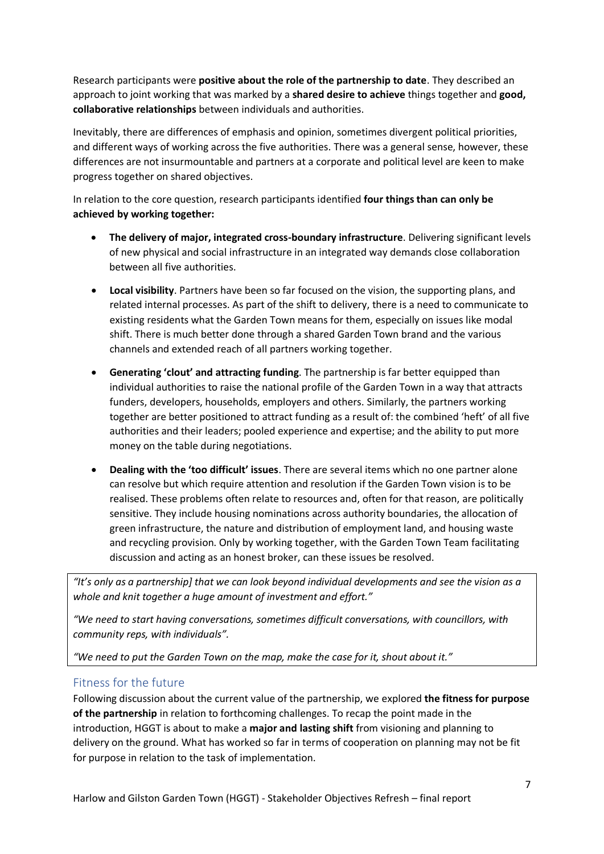Research participants were **positive about the role of the partnership to date**. They described an approach to joint working that was marked by a **shared desire to achieve** things together and **good, collaborative relationships** between individuals and authorities.

Inevitably, there are differences of emphasis and opinion, sometimes divergent political priorities, and different ways of working across the five authorities. There was a general sense, however, these differences are not insurmountable and partners at a corporate and political level are keen to make progress together on shared objectives.

In relation to the core question, research participants identified **four things than can only be achieved by working together:**

- **The delivery of major, integrated cross-boundary infrastructure**. Delivering significant levels of new physical and social infrastructure in an integrated way demands close collaboration between all five authorities.
- **Local visibility**. Partners have been so far focused on the vision, the supporting plans, and related internal processes. As part of the shift to delivery, there is a need to communicate to existing residents what the Garden Town means for them, especially on issues like modal shift. There is much better done through a shared Garden Town brand and the various channels and extended reach of all partners working together.
- **Generating 'clout' and attracting funding**. The partnership is far better equipped than individual authorities to raise the national profile of the Garden Town in a way that attracts funders, developers, households, employers and others. Similarly, the partners working together are better positioned to attract funding as a result of: the combined 'heft' of all five authorities and their leaders; pooled experience and expertise; and the ability to put more money on the table during negotiations.
- **Dealing with the 'too difficult' issues**. There are several items which no one partner alone can resolve but which require attention and resolution if the Garden Town vision is to be realised. These problems often relate to resources and, often for that reason, are politically sensitive. They include housing nominations across authority boundaries, the allocation of green infrastructure, the nature and distribution of employment land, and housing waste and recycling provision. Only by working together, with the Garden Town Team facilitating discussion and acting as an honest broker, can these issues be resolved.

*"It's only as a partnership] that we can look beyond individual developments and see the vision as a whole and knit together a huge amount of investment and effort."*

*"We need to start having conversations, sometimes difficult conversations, with councillors, with community reps, with individuals".*

*"We need to put the Garden Town on the map, make the case for it, shout about it."*

# <span id="page-6-0"></span>Fitness for the future

Following discussion about the current value of the partnership, we explored **the fitness for purpose of the partnership** in relation to forthcoming challenges. To recap the point made in the introduction, HGGT is about to make a **major and lasting shift** from visioning and planning to delivery on the ground. What has worked so far in terms of cooperation on planning may not be fit for purpose in relation to the task of implementation.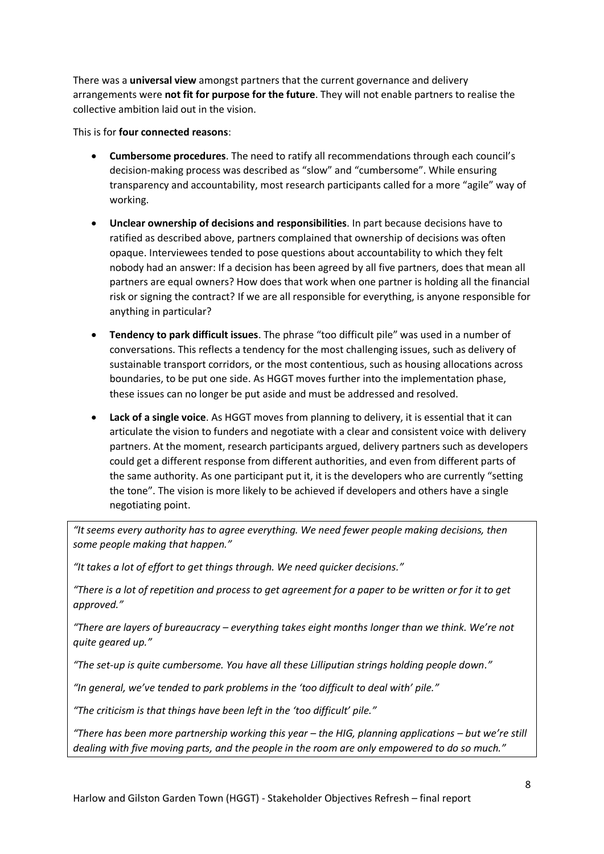There was a **universal view** amongst partners that the current governance and delivery arrangements were **not fit for purpose for the future**. They will not enable partners to realise the collective ambition laid out in the vision.

This is for **four connected reasons**:

- **Cumbersome procedures**. The need to ratify all recommendations through each council's decision-making process was described as "slow" and "cumbersome". While ensuring transparency and accountability, most research participants called for a more "agile" way of working.
- **Unclear ownership of decisions and responsibilities**. In part because decisions have to ratified as described above, partners complained that ownership of decisions was often opaque. Interviewees tended to pose questions about accountability to which they felt nobody had an answer: If a decision has been agreed by all five partners, does that mean all partners are equal owners? How does that work when one partner is holding all the financial risk or signing the contract? If we are all responsible for everything, is anyone responsible for anything in particular?
- **Tendency to park difficult issues**. The phrase "too difficult pile" was used in a number of conversations. This reflects a tendency for the most challenging issues, such as delivery of sustainable transport corridors, or the most contentious, such as housing allocations across boundaries, to be put one side. As HGGT moves further into the implementation phase, these issues can no longer be put aside and must be addressed and resolved.
- **Lack of a single voice**. As HGGT moves from planning to delivery, it is essential that it can articulate the vision to funders and negotiate with a clear and consistent voice with delivery partners. At the moment, research participants argued, delivery partners such as developers could get a different response from different authorities, and even from different parts of the same authority. As one participant put it, it is the developers who are currently "setting the tone". The vision is more likely to be achieved if developers and others have a single negotiating point.

*"It seems every authority has to agree everything. We need fewer people making decisions, then some people making that happen."*

*"It takes a lot of effort to get things through. We need quicker decisions."*

*"There is a lot of repetition and process to get agreement for a paper to be written or for it to get approved."*

*"There are layers of bureaucracy – everything takes eight months longer than we think. We're not quite geared up."*

*"The set-up is quite cumbersome. You have all these Lilliputian strings holding people down."*

*"In general, we've tended to park problems in the 'too difficult to deal with' pile."*

*"The criticism is that things have been left in the 'too difficult' pile."*

*"There has been more partnership working this year – the HIG, planning applications – but we're still dealing with five moving parts, and the people in the room are only empowered to do so much."*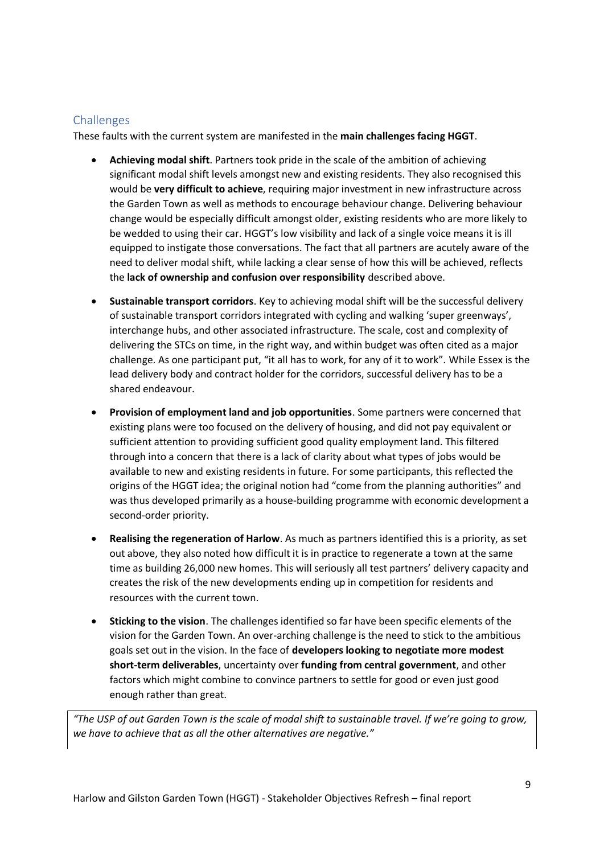# <span id="page-8-0"></span>**Challenges**

These faults with the current system are manifested in the **main challenges facing HGGT**.

- **Achieving modal shift**. Partners took pride in the scale of the ambition of achieving significant modal shift levels amongst new and existing residents. They also recognised this would be **very difficult to achieve**, requiring major investment in new infrastructure across the Garden Town as well as methods to encourage behaviour change. Delivering behaviour change would be especially difficult amongst older, existing residents who are more likely to be wedded to using their car. HGGT's low visibility and lack of a single voice means it is ill equipped to instigate those conversations. The fact that all partners are acutely aware of the need to deliver modal shift, while lacking a clear sense of how this will be achieved, reflects the **lack of ownership and confusion over responsibility** described above.
- **Sustainable transport corridors**. Key to achieving modal shift will be the successful delivery of sustainable transport corridors integrated with cycling and walking 'super greenways', interchange hubs, and other associated infrastructure. The scale, cost and complexity of delivering the STCs on time, in the right way, and within budget was often cited as a major challenge. As one participant put, "it all has to work, for any of it to work". While Essex is the lead delivery body and contract holder for the corridors, successful delivery has to be a shared endeavour.
- **Provision of employment land and job opportunities**. Some partners were concerned that existing plans were too focused on the delivery of housing, and did not pay equivalent or sufficient attention to providing sufficient good quality employment land. This filtered through into a concern that there is a lack of clarity about what types of jobs would be available to new and existing residents in future. For some participants, this reflected the origins of the HGGT idea; the original notion had "come from the planning authorities" and was thus developed primarily as a house-building programme with economic development a second-order priority.
- **Realising the regeneration of Harlow**. As much as partners identified this is a priority, as set out above, they also noted how difficult it is in practice to regenerate a town at the same time as building 26,000 new homes. This will seriously all test partners' delivery capacity and creates the risk of the new developments ending up in competition for residents and resources with the current town.
- **Sticking to the vision**. The challenges identified so far have been specific elements of the vision for the Garden Town. An over-arching challenge is the need to stick to the ambitious goals set out in the vision. In the face of **developers looking to negotiate more modest short-term deliverables**, uncertainty over **funding from central government**, and other factors which might combine to convince partners to settle for good or even just good enough rather than great.

*"The USP of out Garden Town is the scale of modal shift to sustainable travel. If we're going to grow, we have to achieve that as all the other alternatives are negative."*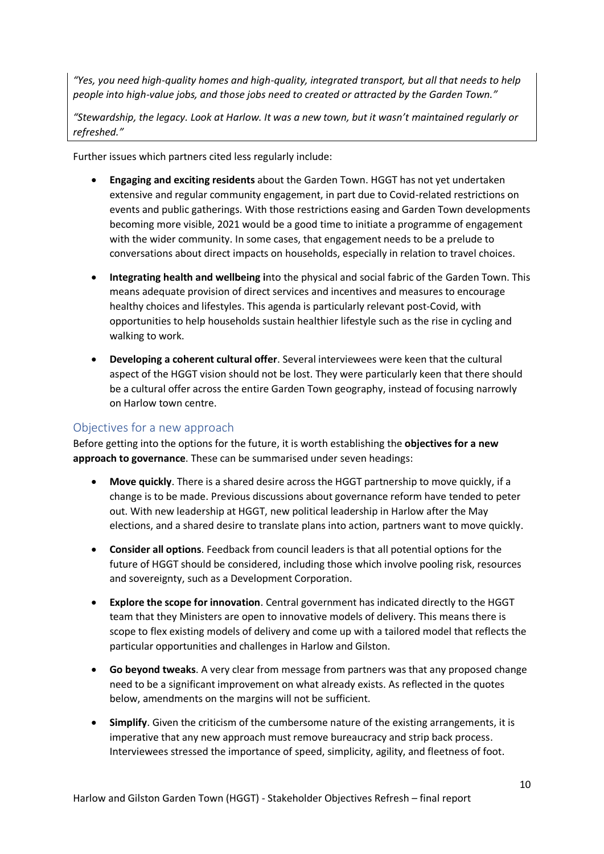*"Yes, you need high-quality homes and high-quality, integrated transport, but all that needs to help people into high-value jobs, and those jobs need to created or attracted by the Garden Town."*

*"Stewardship, the legacy. Look at Harlow. It was a new town, but it wasn't maintained regularly or refreshed."*

Further issues which partners cited less regularly include:

- **Engaging and exciting residents** about the Garden Town. HGGT has not yet undertaken extensive and regular community engagement, in part due to Covid-related restrictions on events and public gatherings. With those restrictions easing and Garden Town developments becoming more visible, 2021 would be a good time to initiate a programme of engagement with the wider community. In some cases, that engagement needs to be a prelude to conversations about direct impacts on households, especially in relation to travel choices.
- **Integrating health and wellbeing i**nto the physical and social fabric of the Garden Town. This means adequate provision of direct services and incentives and measures to encourage healthy choices and lifestyles. This agenda is particularly relevant post-Covid, with opportunities to help households sustain healthier lifestyle such as the rise in cycling and walking to work.
- **Developing a coherent cultural offer**. Several interviewees were keen that the cultural aspect of the HGGT vision should not be lost. They were particularly keen that there should be a cultural offer across the entire Garden Town geography, instead of focusing narrowly on Harlow town centre.

# <span id="page-9-0"></span>Objectives for a new approach

Before getting into the options for the future, it is worth establishing the **objectives for a new approach to governance**. These can be summarised under seven headings:

- **Move quickly**. There is a shared desire across the HGGT partnership to move quickly, if a change is to be made. Previous discussions about governance reform have tended to peter out. With new leadership at HGGT, new political leadership in Harlow after the May elections, and a shared desire to translate plans into action, partners want to move quickly.
- **Consider all options**. Feedback from council leaders is that all potential options for the future of HGGT should be considered, including those which involve pooling risk, resources and sovereignty, such as a Development Corporation.
- **Explore the scope for innovation**. Central government has indicated directly to the HGGT team that they Ministers are open to innovative models of delivery. This means there is scope to flex existing models of delivery and come up with a tailored model that reflects the particular opportunities and challenges in Harlow and Gilston.
- **Go beyond tweaks**. A very clear from message from partners was that any proposed change need to be a significant improvement on what already exists. As reflected in the quotes below, amendments on the margins will not be sufficient.
- **Simplify**. Given the criticism of the cumbersome nature of the existing arrangements, it is imperative that any new approach must remove bureaucracy and strip back process. Interviewees stressed the importance of speed, simplicity, agility, and fleetness of foot.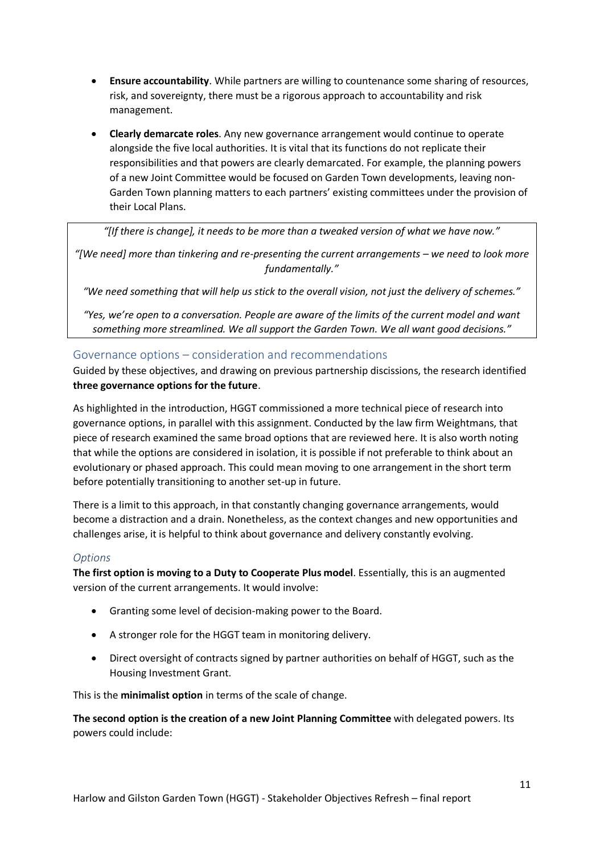- **Ensure accountability**. While partners are willing to countenance some sharing of resources, risk, and sovereignty, there must be a rigorous approach to accountability and risk management.
- **Clearly demarcate roles**. Any new governance arrangement would continue to operate alongside the five local authorities. It is vital that its functions do not replicate their responsibilities and that powers are clearly demarcated. For example, the planning powers of a new Joint Committee would be focused on Garden Town developments, leaving non-Garden Town planning matters to each partners' existing committees under the provision of their Local Plans.

*"[If there is change], it needs to be more than a tweaked version of what we have now."*

*"[We need] more than tinkering and re-presenting the current arrangements – we need to look more fundamentally."*

*"We need something that will help us stick to the overall vision, not just the delivery of schemes."*

*"Yes, we're open to a conversation. People are aware of the limits of the current model and want something more streamlined. We all support the Garden Town. We all want good decisions."*

#### <span id="page-10-0"></span>Governance options – consideration and recommendations

Guided by these objectives, and drawing on previous partnership discissions, the research identified **three governance options for the future**.

As highlighted in the introduction, HGGT commissioned a more technical piece of research into governance options, in parallel with this assignment. Conducted by the law firm Weightmans, that piece of research examined the same broad options that are reviewed here. It is also worth noting that while the options are considered in isolation, it is possible if not preferable to think about an evolutionary or phased approach. This could mean moving to one arrangement in the short term before potentially transitioning to another set-up in future.

There is a limit to this approach, in that constantly changing governance arrangements, would become a distraction and a drain. Nonetheless, as the context changes and new opportunities and challenges arise, it is helpful to think about governance and delivery constantly evolving.

#### *Options*

**The first option is moving to a Duty to Cooperate Plus model**. Essentially, this is an augmented version of the current arrangements. It would involve:

- Granting some level of decision-making power to the Board.
- A stronger role for the HGGT team in monitoring delivery.
- Direct oversight of contracts signed by partner authorities on behalf of HGGT, such as the Housing Investment Grant.

This is the **minimalist option** in terms of the scale of change.

**The second option is the creation of a new Joint Planning Committee** with delegated powers. Its powers could include: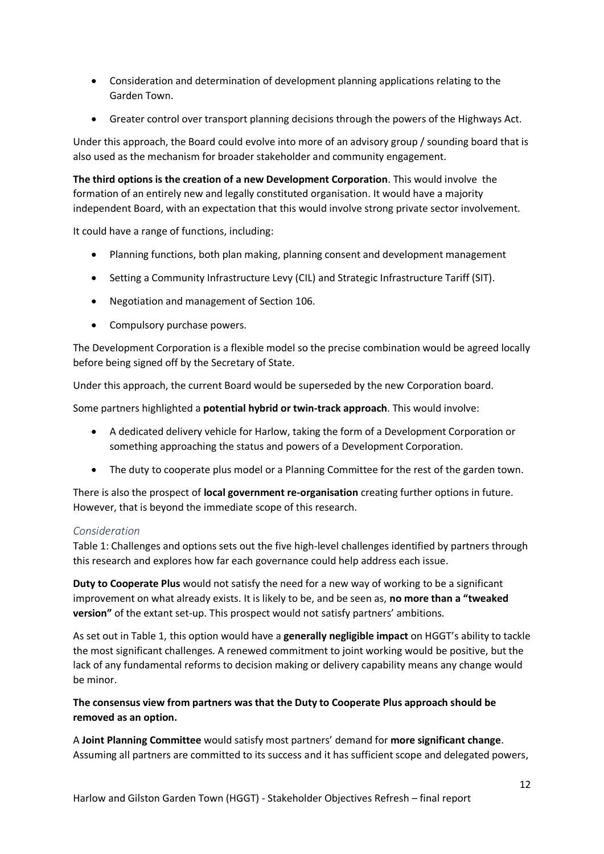- Consideration and determination of development planning applications relating to the Garden Town.
- Greater control over transport planning decisions through the powers of the Highways Act.

Under this approach, the Board could evolve into more of an advisory group / sounding board that is also used as the mechanism for broader stakeholder and community engagement.

**The third options is the creation of a new Development Corporation**. This would involve the formation of an entirely new and legally constituted organisation. It would have a majority independent Board, with an expectation that this would involve strong private sector involvement.

It could have a range of functions, including:

- Planning functions, both plan making, planning consent and development management
- Setting a Community Infrastructure Levy (CIL) and Strategic Infrastructure Tariff (SIT).
- Negotiation and management of Section 106.
- Compulsory purchase powers.

The Development Corporation is a flexible model so the precise combination would be agreed locally before being signed off by the Secretary of State.

Under this approach, the current Board would be superseded by the new Corporation board.

Some partners highlighted a **potential hybrid or twin-track approach**. This would involve:

- A dedicated delivery vehicle for Harlow, taking the form of a Development Corporation or something approaching the status and powers of a Development Corporation.
- The duty to cooperate plus model or a Planning Committee for the rest of the garden town.

There is also the prospect of **local government re-organisation** creating further options in future. However, that is beyond the immediate scope of this research.

#### *Consideration*

Table 1: Challenges and options sets out the five high-level challenges identified by partners through this research and explores how far each governance could help address each issue.

**Duty to Cooperate Plus** would not satisfy the need for a new way of working to be a significant improvement on what already exists. It is likely to be, and be seen as, **no more than a "tweaked version"** of the extant set-up. This prospect would not satisfy partners' ambitions.

As set out in Table 1, this option would have a **generally negligible impact** on HGGT's ability to tackle the most significant challenges. A renewed commitment to joint working would be positive, but the lack of any fundamental reforms to decision making or delivery capability means any change would be minor.

**The consensus view from partners was that the Duty to Cooperate Plus approach should be removed as an option.**

A **Joint Planning Committee** would satisfy most partners' demand for **more significant change**. Assuming all partners are committed to its success and it has sufficient scope and delegated powers,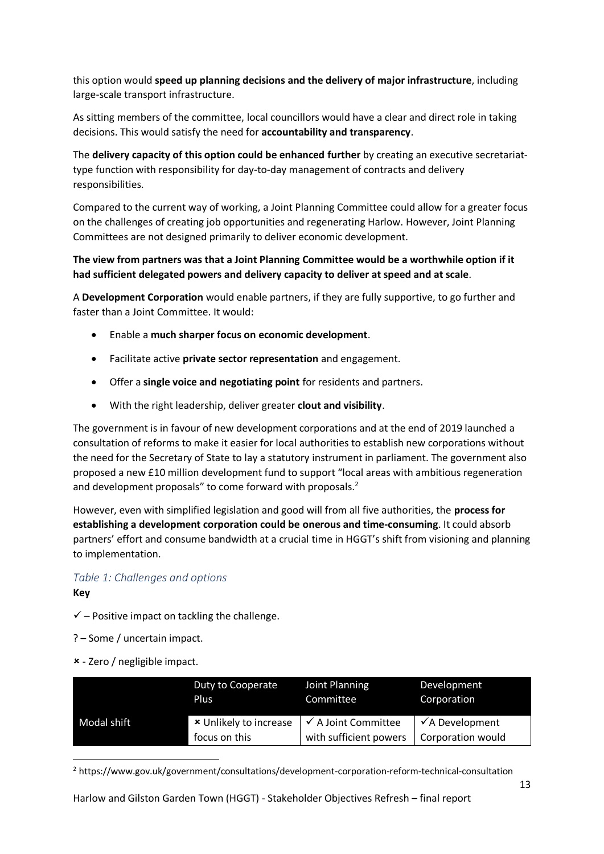this option would **speed up planning decisions and the delivery of major infrastructure**, including large-scale transport infrastructure.

As sitting members of the committee, local councillors would have a clear and direct role in taking decisions. This would satisfy the need for **accountability and transparency**.

The **delivery capacity of this option could be enhanced further** by creating an executive secretariattype function with responsibility for day-to-day management of contracts and delivery responsibilities.

Compared to the current way of working, a Joint Planning Committee could allow for a greater focus on the challenges of creating job opportunities and regenerating Harlow. However, Joint Planning Committees are not designed primarily to deliver economic development.

### **The view from partners was that a Joint Planning Committee would be a worthwhile option if it had sufficient delegated powers and delivery capacity to deliver at speed and at scale**.

A **Development Corporation** would enable partners, if they are fully supportive, to go further and faster than a Joint Committee. It would:

- Enable a **much sharper focus on economic development**.
- Facilitate active **private sector representation** and engagement.
- Offer a **single voice and negotiating point** for residents and partners.
- With the right leadership, deliver greater **clout and visibility**.

The government is in favour of new development corporations and at the end of 2019 launched a consultation of reforms to make it easier for local authorities to establish new corporations without the need for the Secretary of State to lay a statutory instrument in parliament. The government also proposed a new £10 million development fund to support "local areas with ambitious regeneration and development proposals" to come forward with proposals.<sup>2</sup>

However, even with simplified legislation and good will from all five authorities, the **process for establishing a development corporation could be onerous and time-consuming**. It could absorb partners' effort and consume bandwidth at a crucial time in HGGT's shift from visioning and planning to implementation.

#### *Table 1: Challenges and options*

**Key**

 $\checkmark$  – Positive impact on tackling the challenge.

? – Some / uncertain impact.

- Zero / negligible impact.

|             | Duty to Cooperate      | Joint Planning                 | Development                |
|-------------|------------------------|--------------------------------|----------------------------|
|             | Plus                   | Committee                      | Corporation                |
| Modal shift | * Unlikely to increase | $\checkmark$ A Joint Committee | $\checkmark$ A Development |
|             | focus on this          | with sufficient powers         | Corporation would          |

<sup>2</sup> https://www.gov.uk/government/consultations/development-corporation-reform-technical-consultation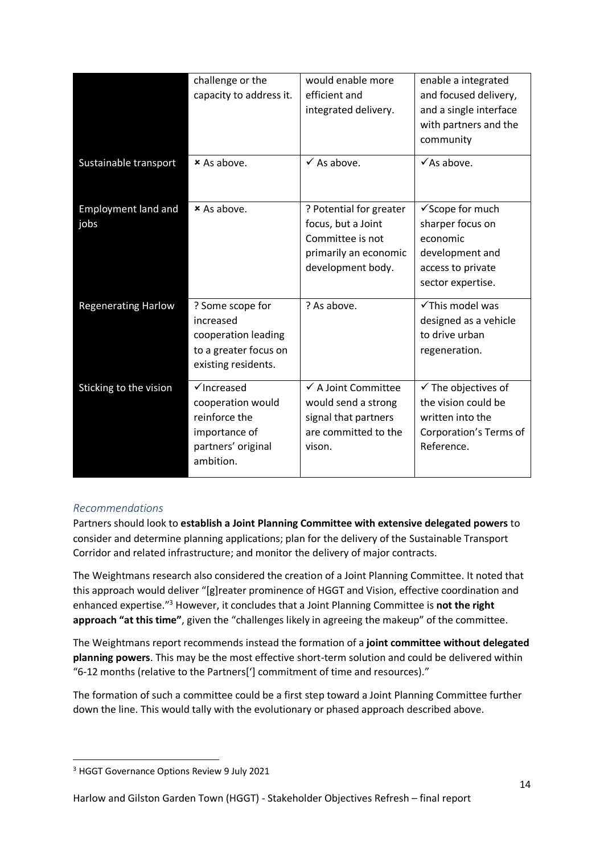|                                    | challenge or the<br>capacity to address it.                                                                      | would enable more<br>efficient and<br>integrated delivery.                                                      | enable a integrated<br>and focused delivery,<br>and a single interface<br>with partners and the<br>community      |
|------------------------------------|------------------------------------------------------------------------------------------------------------------|-----------------------------------------------------------------------------------------------------------------|-------------------------------------------------------------------------------------------------------------------|
| Sustainable transport              | × As above.                                                                                                      | $\checkmark$ As above.                                                                                          | $\checkmark$ As above.                                                                                            |
| <b>Employment land and</b><br>jobs | × As above.                                                                                                      | ? Potential for greater<br>focus, but a Joint<br>Committee is not<br>primarily an economic<br>development body. | √ Scope for much<br>sharper focus on<br>economic<br>development and<br>access to private<br>sector expertise.     |
| <b>Regenerating Harlow</b>         | ? Some scope for<br>increased<br>cooperation leading<br>to a greater focus on<br>existing residents.             | ? As above.                                                                                                     | √This model was<br>designed as a vehicle<br>to drive urban<br>regeneration.                                       |
| Sticking to the vision             | $\checkmark$ Increased<br>cooperation would<br>reinforce the<br>importance of<br>partners' original<br>ambition. | ✔ A Joint Committee<br>would send a strong<br>signal that partners<br>are committed to the<br>vison.            | $\checkmark$ The objectives of<br>the vision could be<br>written into the<br>Corporation's Terms of<br>Reference. |

# *Recommendations*

Partners should look to **establish a Joint Planning Committee with extensive delegated powers** to consider and determine planning applications; plan for the delivery of the Sustainable Transport Corridor and related infrastructure; and monitor the delivery of major contracts.

The Weightmans research also considered the creation of a Joint Planning Committee. It noted that this approach would deliver "[g]reater prominence of HGGT and Vision, effective coordination and enhanced expertise."<sup>3</sup> However, it concludes that a Joint Planning Committee is **not the right approach "at this time"**, given the "challenges likely in agreeing the makeup" of the committee.

The Weightmans report recommends instead the formation of a **joint committee without delegated planning powers**. This may be the most effective short-term solution and could be delivered within "6-12 months (relative to the Partners['] commitment of time and resources)."

The formation of such a committee could be a first step toward a Joint Planning Committee further down the line. This would tally with the evolutionary or phased approach described above.

<sup>&</sup>lt;sup>3</sup> HGGT Governance Options Review 9 July 2021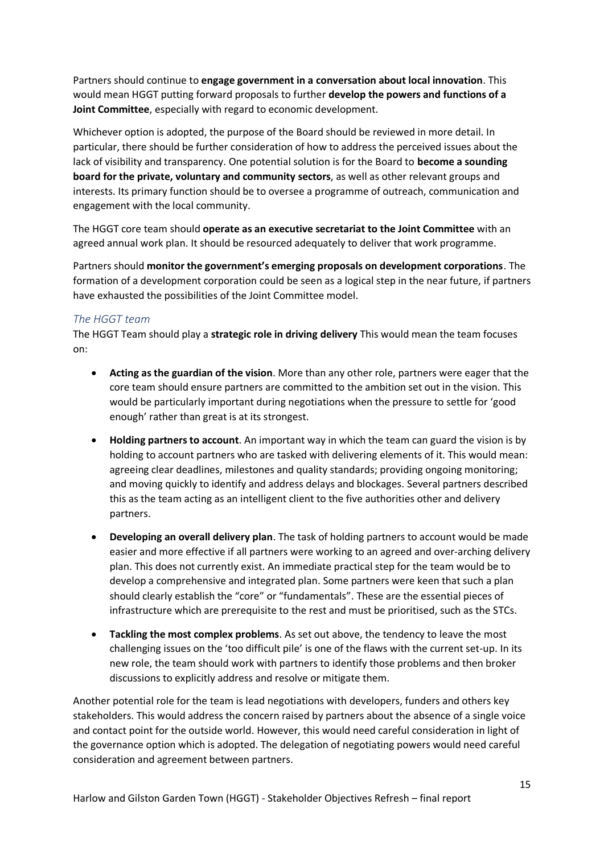Partners should continue to **engage government in a conversation about local innovation**. This would mean HGGT putting forward proposals to further **develop the powers and functions of a Joint Committee**, especially with regard to economic development.

Whichever option is adopted, the purpose of the Board should be reviewed in more detail. In particular, there should be further consideration of how to address the perceived issues about the lack of visibility and transparency. One potential solution is for the Board to **become a sounding board for the private, voluntary and community sectors**, as well as other relevant groups and interests. Its primary function should be to oversee a programme of outreach, communication and engagement with the local community.

The HGGT core team should **operate as an executive secretariat to the Joint Committee** with an agreed annual work plan. It should be resourced adequately to deliver that work programme.

Partners should **monitor the government's emerging proposals on development corporations**. The formation of a development corporation could be seen as a logical step in the near future, if partners have exhausted the possibilities of the Joint Committee model.

#### *The HGGT team*

The HGGT Team should play a **strategic role in driving delivery** This would mean the team focuses on:

- **Acting as the guardian of the vision**. More than any other role, partners were eager that the core team should ensure partners are committed to the ambition set out in the vision. This would be particularly important during negotiations when the pressure to settle for 'good enough' rather than great is at its strongest.
- **Holding partners to account**. An important way in which the team can guard the vision is by holding to account partners who are tasked with delivering elements of it. This would mean: agreeing clear deadlines, milestones and quality standards; providing ongoing monitoring; and moving quickly to identify and address delays and blockages. Several partners described this as the team acting as an intelligent client to the five authorities other and delivery partners.
- **Developing an overall delivery plan**. The task of holding partners to account would be made easier and more effective if all partners were working to an agreed and over-arching delivery plan. This does not currently exist. An immediate practical step for the team would be to develop a comprehensive and integrated plan. Some partners were keen that such a plan should clearly establish the "core" or "fundamentals". These are the essential pieces of infrastructure which are prerequisite to the rest and must be prioritised, such as the STCs.
- **Tackling the most complex problems**. As set out above, the tendency to leave the most challenging issues on the 'too difficult pile' is one of the flaws with the current set-up. In its new role, the team should work with partners to identify those problems and then broker discussions to explicitly address and resolve or mitigate them.

Another potential role for the team is lead negotiations with developers, funders and others key stakeholders. This would address the concern raised by partners about the absence of a single voice and contact point for the outside world. However, this would need careful consideration in light of the governance option which is adopted. The delegation of negotiating powers would need careful consideration and agreement between partners.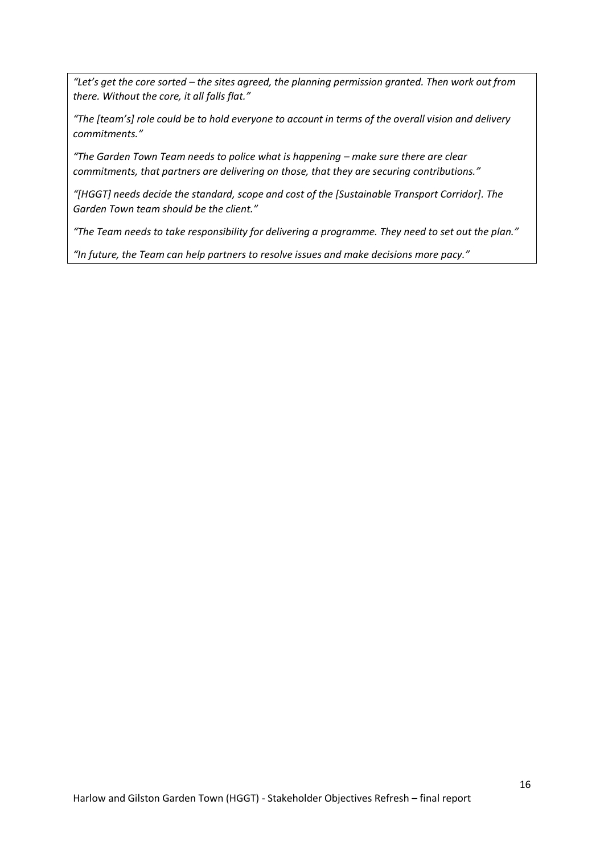*"Let's get the core sorted – the sites agreed, the planning permission granted. Then work out from there. Without the core, it all falls flat."*

*"The [team's] role could be to hold everyone to account in terms of the overall vision and delivery commitments."*

*"The Garden Town Team needs to police what is happening – make sure there are clear commitments, that partners are delivering on those, that they are securing contributions."*

*"[HGGT] needs decide the standard, scope and cost of the [Sustainable Transport Corridor]. The Garden Town team should be the client."*

*"The Team needs to take responsibility for delivering a programme. They need to set out the plan."*

*"In future, the Team can help partners to resolve issues and make decisions more pacy."*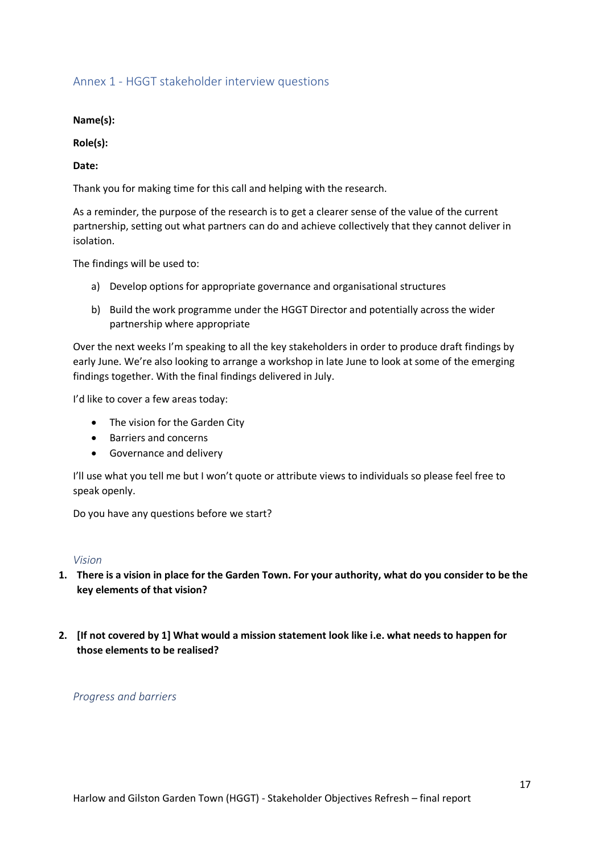### <span id="page-16-0"></span>Annex 1 - HGGT stakeholder interview questions

**Name(s):**

**Role(s):**

**Date:**

Thank you for making time for this call and helping with the research.

As a reminder, the purpose of the research is to get a clearer sense of the value of the current partnership, setting out what partners can do and achieve collectively that they cannot deliver in isolation.

The findings will be used to:

- a) Develop options for appropriate governance and organisational structures
- b) Build the work programme under the HGGT Director and potentially across the wider partnership where appropriate

Over the next weeks I'm speaking to all the key stakeholders in order to produce draft findings by early June. We're also looking to arrange a workshop in late June to look at some of the emerging findings together. With the final findings delivered in July.

I'd like to cover a few areas today:

- The vision for the Garden City
- Barriers and concerns
- Governance and delivery

I'll use what you tell me but I won't quote or attribute views to individuals so please feel free to speak openly.

Do you have any questions before we start?

#### *Vision*

- **1. There is a vision in place for the Garden Town. For your authority, what do you consider to be the key elements of that vision?**
- **2. [If not covered by 1] What would a mission statement look like i.e. what needs to happen for those elements to be realised?**

*Progress and barriers*